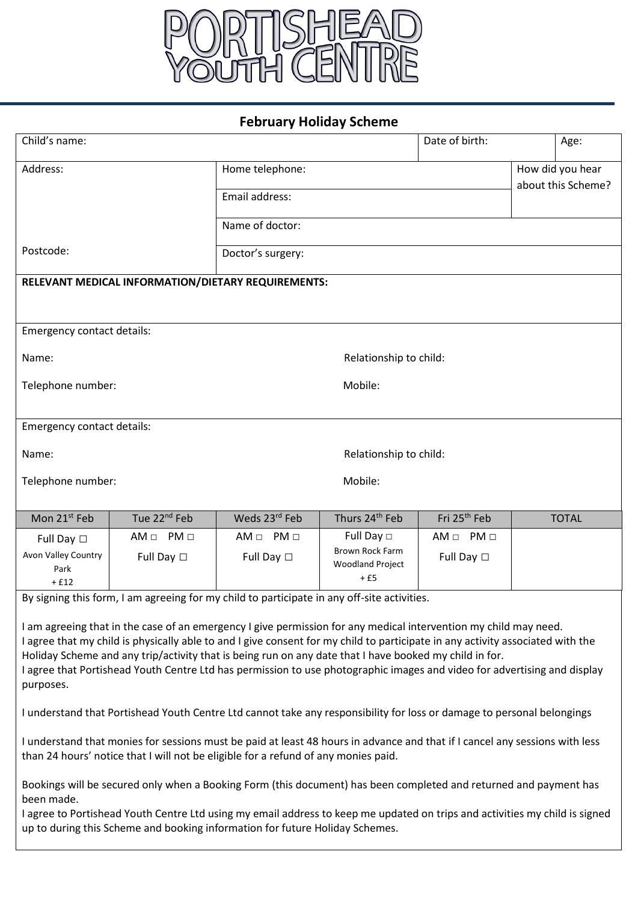

## **February Holiday Scheme**

| Child's name:                                                                                                                                                                                                                                                                                                                                                                                                                                                                                                                                                                                        |                          |                        |                                           | Date of birth:           |                    | Age:         |  |  |
|------------------------------------------------------------------------------------------------------------------------------------------------------------------------------------------------------------------------------------------------------------------------------------------------------------------------------------------------------------------------------------------------------------------------------------------------------------------------------------------------------------------------------------------------------------------------------------------------------|--------------------------|------------------------|-------------------------------------------|--------------------------|--------------------|--------------|--|--|
| Address:                                                                                                                                                                                                                                                                                                                                                                                                                                                                                                                                                                                             |                          | Home telephone:        |                                           |                          | How did you hear   |              |  |  |
|                                                                                                                                                                                                                                                                                                                                                                                                                                                                                                                                                                                                      |                          | Email address:         |                                           |                          | about this Scheme? |              |  |  |
|                                                                                                                                                                                                                                                                                                                                                                                                                                                                                                                                                                                                      |                          | Name of doctor:        |                                           |                          |                    |              |  |  |
| Postcode:                                                                                                                                                                                                                                                                                                                                                                                                                                                                                                                                                                                            |                          |                        |                                           |                          |                    |              |  |  |
|                                                                                                                                                                                                                                                                                                                                                                                                                                                                                                                                                                                                      |                          | Doctor's surgery:      |                                           |                          |                    |              |  |  |
| RELEVANT MEDICAL INFORMATION/DIETARY REQUIREMENTS:                                                                                                                                                                                                                                                                                                                                                                                                                                                                                                                                                   |                          |                        |                                           |                          |                    |              |  |  |
|                                                                                                                                                                                                                                                                                                                                                                                                                                                                                                                                                                                                      |                          |                        |                                           |                          |                    |              |  |  |
| Emergency contact details:                                                                                                                                                                                                                                                                                                                                                                                                                                                                                                                                                                           |                          |                        |                                           |                          |                    |              |  |  |
| Name:                                                                                                                                                                                                                                                                                                                                                                                                                                                                                                                                                                                                |                          | Relationship to child: |                                           |                          |                    |              |  |  |
| Telephone number:                                                                                                                                                                                                                                                                                                                                                                                                                                                                                                                                                                                    |                          | Mobile:                |                                           |                          |                    |              |  |  |
|                                                                                                                                                                                                                                                                                                                                                                                                                                                                                                                                                                                                      |                          |                        |                                           |                          |                    |              |  |  |
| Emergency contact details:                                                                                                                                                                                                                                                                                                                                                                                                                                                                                                                                                                           |                          |                        |                                           |                          |                    |              |  |  |
| Name:                                                                                                                                                                                                                                                                                                                                                                                                                                                                                                                                                                                                |                          | Relationship to child: |                                           |                          |                    |              |  |  |
| Telephone number:                                                                                                                                                                                                                                                                                                                                                                                                                                                                                                                                                                                    |                          | Mobile:                |                                           |                          |                    |              |  |  |
|                                                                                                                                                                                                                                                                                                                                                                                                                                                                                                                                                                                                      |                          |                        |                                           |                          |                    |              |  |  |
| Mon 21 <sup>st</sup> Feb                                                                                                                                                                                                                                                                                                                                                                                                                                                                                                                                                                             | Tue 22 <sup>nd</sup> Feb | Weds 23rd Feb          | Thurs 24 <sup>th</sup> Feb                | Fri 25 <sup>th</sup> Feb |                    | <b>TOTAL</b> |  |  |
| Full Day $\square$<br>Avon Valley Country                                                                                                                                                                                                                                                                                                                                                                                                                                                                                                                                                            | $AM \Box PM \Box$        | $AM \Box PM \Box$      | Full Day $\Box$<br><b>Brown Rock Farm</b> | $AM \Box PM \Box$        |                    |              |  |  |
| Park                                                                                                                                                                                                                                                                                                                                                                                                                                                                                                                                                                                                 | Full Day $\square$       | Full Day $\square$     | <b>Woodland Project</b><br>$+£5$          | Full Day $\Box$          |                    |              |  |  |
| $+£12$                                                                                                                                                                                                                                                                                                                                                                                                                                                                                                                                                                                               |                          |                        |                                           |                          |                    |              |  |  |
| By signing this form, I am agreeing for my child to participate in any off-site activities.<br>I am agreeing that in the case of an emergency I give permission for any medical intervention my child may need.<br>I agree that my child is physically able to and I give consent for my child to participate in any activity associated with the<br>Holiday Scheme and any trip/activity that is being run on any date that I have booked my child in for.<br>I agree that Portishead Youth Centre Ltd has permission to use photographic images and video for advertising and display<br>purposes. |                          |                        |                                           |                          |                    |              |  |  |
| I understand that Portishead Youth Centre Ltd cannot take any responsibility for loss or damage to personal belongings                                                                                                                                                                                                                                                                                                                                                                                                                                                                               |                          |                        |                                           |                          |                    |              |  |  |
| I understand that monies for sessions must be paid at least 48 hours in advance and that if I cancel any sessions with less<br>than 24 hours' notice that I will not be eligible for a refund of any monies paid.                                                                                                                                                                                                                                                                                                                                                                                    |                          |                        |                                           |                          |                    |              |  |  |
| Bookings will be secured only when a Booking Form (this document) has been completed and returned and payment has<br>been made.<br>I agree to Portishead Youth Centre Ltd using my email address to keep me updated on trips and activities my child is signed<br>up to during this Scheme and booking information for future Holiday Schemes.                                                                                                                                                                                                                                                       |                          |                        |                                           |                          |                    |              |  |  |